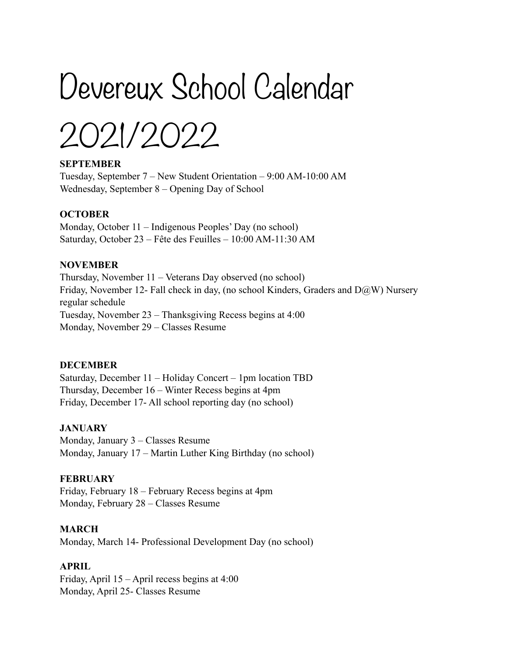# Devereux School Calendar

2021/2022

## **SEPTEMBER**

Tuesday, September 7 – New Student Orientation – 9:00 AM-10:00 AM Wednesday, September 8 – Opening Day of School

## **OCTOBER**

Monday, October 11 – Indigenous Peoples' Day (no school) Saturday, October 23 – Fête des Feuilles – 10:00 AM-11:30 AM

## **NOVEMBER**

Thursday, November 11 – Veterans Day observed (no school) Friday, November 12- Fall check in day, (no school Kinders, Graders and  $D(\partial W)$  Nursery regular schedule Tuesday, November 23 – Thanksgiving Recess begins at 4:00 Monday, November 29 – Classes Resume

## **DECEMBER**

Saturday, December 11 – Holiday Concert – 1pm location TBD Thursday, December 16 – Winter Recess begins at 4pm Friday, December 17- All school reporting day (no school)

## **JANUARY**

Monday, January 3 – Classes Resume Monday, January 17 – Martin Luther King Birthday (no school)

#### **FEBRUARY**

Friday, February 18 – February Recess begins at 4pm Monday, February 28 – Classes Resume

## **MARCH**

Monday, March 14- Professional Development Day (no school)

## **APRIL**

Friday, April 15 – April recess begins at 4:00 Monday, April 25- Classes Resume